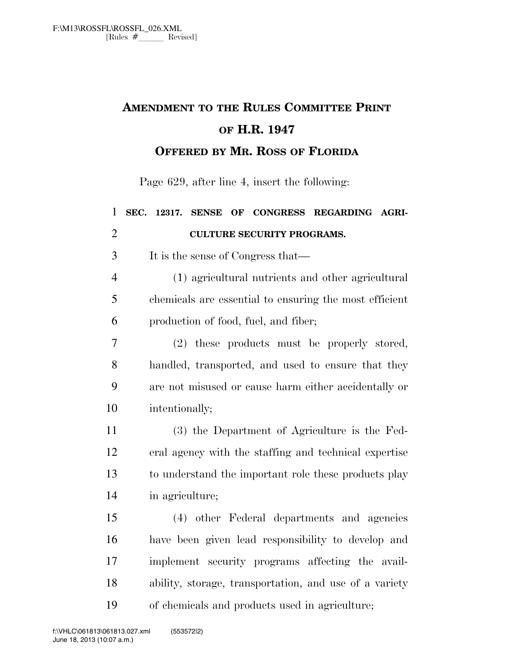## **AMENDMENT TO THE RULES COMMITTEE PRINT OF H.R. 1947 OFFERED BY MR. ROSS OF FLORIDA**

Page 629, after line 4, insert the following:

| $\mathbf{1}$   | SEC.<br>OF CONGRESS REGARDING AGRI-<br>12317.<br><b>SENSE</b> |
|----------------|---------------------------------------------------------------|
| $\overline{2}$ | <b>CULTURE SECURITY PROGRAMS.</b>                             |
| 3              | It is the sense of Congress that—                             |
| $\overline{4}$ | (1) agricultural nutrients and other agricultural             |
| 5              | chemicals are essential to ensuring the most efficient        |
| 6              | production of food, fuel, and fiber;                          |
| 7              | (2) these products must be properly stored,                   |
| 8              | handled, transported, and used to ensure that they            |
| 9              | are not misused or cause harm either accidentally or          |
| 10             | intentionally;                                                |
| 11             | (3) the Department of Agriculture is the Fed-                 |
| 12             | eral agency with the staffing and technical expertise         |
| 13             | to understand the important role these products play          |
| 14             | in agriculture;                                               |
| 15             | (4) other Federal departments and agencies                    |
| 16             | have been given lead responsibility to develop and            |
| 17             | implement security programs affecting the avail-              |
| 18             | ability, storage, transportation, and use of a variety        |
| 19             | of chemicals and products used in agriculture;                |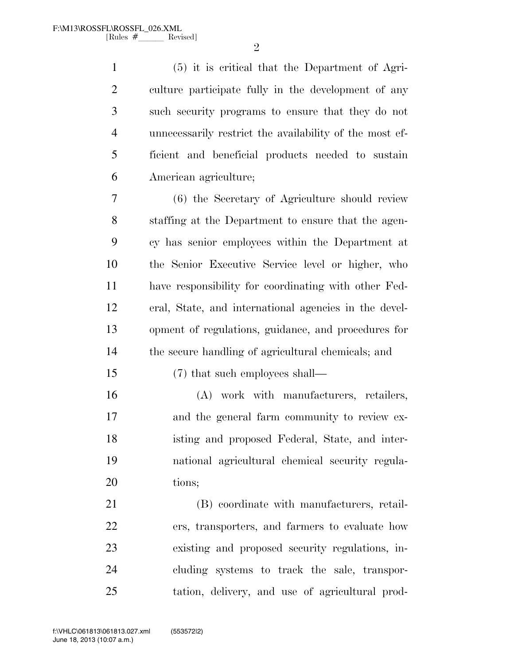$\mathfrak{D}$ 

 (5) it is critical that the Department of Agri- culture participate fully in the development of any such security programs to ensure that they do not unnecessarily restrict the availability of the most ef- ficient and beneficial products needed to sustain American agriculture;

 (6) the Secretary of Agriculture should review staffing at the Department to ensure that the agen- cy has senior employees within the Department at the Senior Executive Service level or higher, who have responsibility for coordinating with other Fed- eral, State, and international agencies in the devel- opment of regulations, guidance, and procedures for the secure handling of agricultural chemicals; and

(7) that such employees shall—

 (A) work with manufacturers, retailers, and the general farm community to review ex- isting and proposed Federal, State, and inter- national agricultural chemical security regula-tions;

 (B) coordinate with manufacturers, retail- ers, transporters, and farmers to evaluate how existing and proposed security regulations, in- cluding systems to track the sale, transpor-tation, delivery, and use of agricultural prod